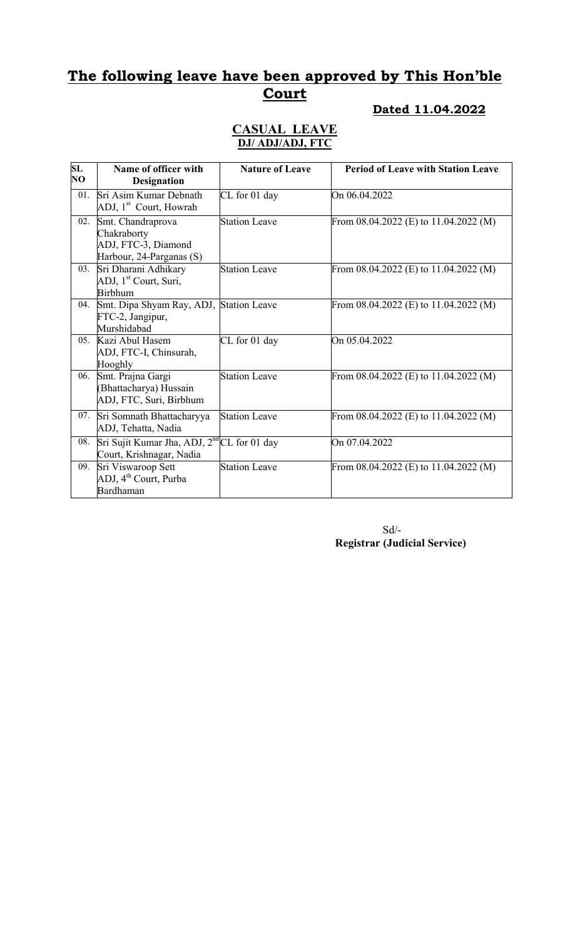# The following leave have been approved by This Hon'ble **Court**

#### Dated 11.04.2022

#### CASUAL LEAVE DJ/ ADJ/ADJ, FTC

| SL<br>NO | Name of officer with<br><b>Designation</b>                                          | <b>Nature of Leave</b> | <b>Period of Leave with Station Leave</b> |
|----------|-------------------------------------------------------------------------------------|------------------------|-------------------------------------------|
| 01.      | Sri Asim Kumar Debnath<br>ADJ, 1 <sup>st</sup> Court, Howrah                        | CL for 01 day          | On 06.04.2022                             |
| 02.      | Smt. Chandraprova<br>Chakraborty<br>ADJ, FTC-3, Diamond<br>Harbour, 24-Parganas (S) | <b>Station Leave</b>   | From $08.04.2022$ (E) to $11.04.2022$ (M) |
| 03.      | Sri Dharani Adhikary<br>ADJ, 1 <sup>st</sup> Court, Suri,<br><b>Birbhum</b>         | <b>Station Leave</b>   | From $08.04.2022$ (E) to $11.04.2022$ (M) |
| 04.      | Smt. Dipa Shyam Ray, ADJ,<br>FTC-2, Jangipur,<br>Murshidabad                        | <b>Station Leave</b>   | From 08.04.2022 (E) to 11.04.2022 (M)     |
| 05.      | Kazi Abul Hasem<br>ADJ, FTC-I, Chinsurah,<br>Hooghly                                | CL for 01 day          | On 05.04.2022                             |
| 06.      | Smt. Prajna Gargi<br>(Bhattacharya) Hussain<br>ADJ, FTC, Suri, Birbhum              | <b>Station Leave</b>   | From $08.04.2022$ (E) to $11.04.2022$ (M) |
| 07.      | Sri Somnath Bhattacharyya<br>ADJ, Tehatta, Nadia                                    | <b>Station Leave</b>   | From $08.04.2022$ (E) to $11.04.2022$ (M) |
| 08.      | Sri Sujit Kumar Jha, ADJ, 2 <sup>nd</sup> CL for 01 day<br>Court, Krishnagar, Nadia |                        | On 07.04.2022                             |
| 09.      | Sri Viswaroop Sett<br>ADJ, 4 <sup>th</sup> Court, Purba<br>Bardhaman                | <b>Station Leave</b>   | From $08.04.2022$ (E) to $11.04.2022$ (M) |

 Sd/- Registrar (Judicial Service)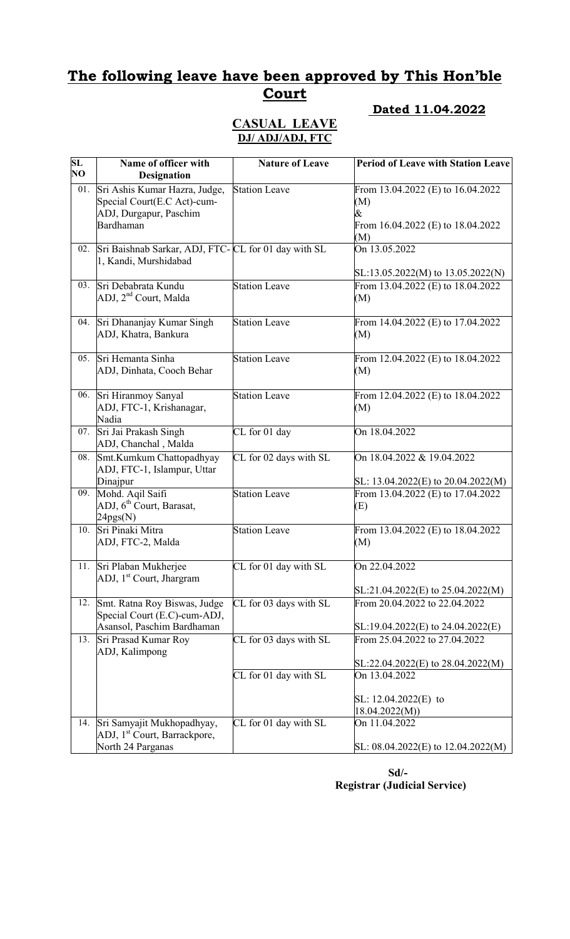# The following leave have been approved by This Hon'ble **Court**

#### Dated 11.04.2022

#### CASUAL LEAVE DJ/ ADJ/ADJ, FTC

| SL  | Name of officer with                                         | <b>Nature of Leave</b> | <b>Period of Leave with Station Leave</b> |
|-----|--------------------------------------------------------------|------------------------|-------------------------------------------|
| NO  | <b>Designation</b>                                           |                        |                                           |
| 01. | Sri Ashis Kumar Hazra, Judge,                                | <b>Station Leave</b>   | From 13.04.2022 (E) to 16.04.2022         |
|     | Special Court(E.C Act)-cum-                                  |                        | (M)                                       |
|     | ADJ, Durgapur, Paschim                                       |                        | &                                         |
|     | Bardhaman                                                    |                        | From 16.04.2022 (E) to 18.04.2022<br>(M)  |
| 02. | Sri Baishnab Sarkar, ADJ, FTC- CL for 01 day with SL         |                        | On 13.05.2022                             |
|     | 1, Kandi, Murshidabad                                        |                        |                                           |
|     |                                                              |                        | $SL:13.05.2022(M)$ to $13.05.2022(N)$     |
| 03. | Sri Debabrata Kundu                                          | <b>Station Leave</b>   | From 13.04.2022 (E) to 18.04.2022         |
|     | ADJ, 2 <sup>nd</sup> Court, Malda                            |                        | (M)                                       |
| 04. | Sri Dhananjay Kumar Singh                                    | <b>Station Leave</b>   |                                           |
|     | ADJ, Khatra, Bankura                                         |                        | From 14.04.2022 (E) to 17.04.2022<br>(M)  |
|     |                                                              |                        |                                           |
| 05. | Sri Hemanta Sinha                                            | <b>Station Leave</b>   | From 12.04.2022 (E) to 18.04.2022         |
|     | ADJ, Dinhata, Cooch Behar                                    |                        | (M)                                       |
|     |                                                              |                        |                                           |
| 06. | Sri Hiranmoy Sanyal                                          | <b>Station Leave</b>   | From 12.04.2022 (E) to 18.04.2022         |
|     | ADJ, FTC-1, Krishanagar,<br>Nadia                            |                        | (M)                                       |
| 07. | Sri Jai Prakash Singh                                        | CL for 01 day          | On 18.04.2022                             |
|     | ADJ, Chanchal, Malda                                         |                        |                                           |
| 08. | Smt.Kumkum Chattopadhyay                                     | CL for 02 days with SL | On 18.04.2022 & 19.04.2022                |
|     | ADJ, FTC-1, Islampur, Uttar                                  |                        |                                           |
|     | Dinajpur                                                     |                        | SL: $13.04.2022(E)$ to $20.04.2022(M)$    |
| 09. | Mohd. Aqil Saifi                                             | <b>Station Leave</b>   | From 13.04.2022 (E) to 17.04.2022         |
|     | ADJ, 6 <sup>th</sup> Court, Barasat,<br>24pgs(N)             |                        | (E)                                       |
| 10. | Sri Pinaki Mitra                                             | <b>Station Leave</b>   | From 13.04.2022 (E) to 18.04.2022         |
|     | ADJ, FTC-2, Malda                                            |                        | (M)                                       |
|     |                                                              |                        |                                           |
| 11. | Sri Plaban Mukherjee                                         | CL for 01 day with SL  | On 22.04.2022                             |
|     | ADJ, 1 <sup>st</sup> Court, Jhargram                         |                        |                                           |
|     |                                                              |                        | $SL:21.04.2022(E)$ to 25.04.2022(M)       |
| 12. | Smt. Ratna Roy Biswas, Judge<br>Special Court (E.C)-cum-ADJ, | CL for 03 days with SL | From 20.04.2022 to 22.04.2022             |
|     | Asansol, Paschim Bardhaman                                   |                        | $SL:19.04.2022(E)$ to 24.04.2022(E)       |
| 13. | Sri Prasad Kumar Roy                                         | CL for 03 days with SL | From 25.04.2022 to 27.04.2022             |
|     | ADJ, Kalimpong                                               |                        |                                           |
|     |                                                              |                        | $SL:22.04.2022(E)$ to 28.04.2022(M)       |
|     |                                                              | CL for 01 day with SL  | On 13.04.2022                             |
|     |                                                              |                        |                                           |
|     |                                                              |                        | SL: $12.04.2022(E)$ to<br>18.04.2022(M)   |
| 14. | Sri Samyajit Mukhopadhyay,                                   | CL for 01 day with SL  | On 11.04.2022                             |
|     | ADJ, 1 <sup>st</sup> Court, Barrackpore,                     |                        |                                           |
|     | North 24 Parganas                                            |                        | SL: 08.04.2022(E) to 12.04.2022(M)        |

 Sd/- Registrar (Judicial Service)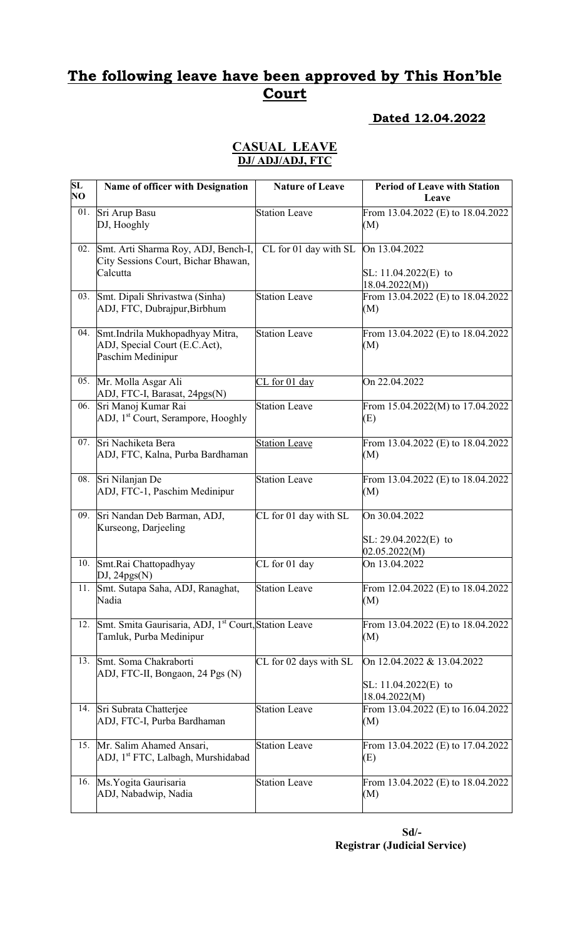# The following leave have been approved by This Hon'ble **Court**

#### Dated 12.04.2022

#### CASUAL LEAVE DJ/ ADJ/ADJ, FTC

| $\overline{\text{SL}}$<br>NQ | Name of officer with Designation                                                       | <b>Nature of Leave</b> | <b>Period of Leave with Station</b><br>Leave                          |
|------------------------------|----------------------------------------------------------------------------------------|------------------------|-----------------------------------------------------------------------|
| 01.                          | Sri Arup Basu<br>DJ, Hooghly                                                           | <b>Station Leave</b>   | From 13.04.2022 (E) to 18.04.2022<br>(M)                              |
| 02.                          | Smt. Arti Sharma Roy, ADJ, Bench-I,<br>City Sessions Court, Bichar Bhawan,<br>Calcutta | CL for 01 day with SL  | On 13.04.2022<br>SL: $11.04.2022(E)$ to<br>18.04.2022(M)              |
| 03.                          | Smt. Dipali Shrivastwa (Sinha)<br>ADJ, FTC, Dubrajpur, Birbhum                         | <b>Station Leave</b>   | From 13.04.2022 (E) to 18.04.2022<br>(M)                              |
| 04.                          | Smt.Indrila Mukhopadhyay Mitra,<br>ADJ, Special Court (E.C.Act),<br>Paschim Medinipur  | <b>Station Leave</b>   | From 13.04.2022 (E) to 18.04.2022<br>(M)                              |
| 05.                          | Mr. Molla Asgar Ali<br>ADJ, FTC-I, Barasat, 24pgs(N)                                   | CL for 01 day          | On 22.04.2022                                                         |
| 06.                          | Sri Manoj Kumar Rai<br>ADJ, 1 <sup>st</sup> Court, Serampore, Hooghly                  | <b>Station Leave</b>   | From 15.04.2022(M) to 17.04.2022<br>(E)                               |
| 07.                          | Sri Nachiketa Bera<br>ADJ, FTC, Kalna, Purba Bardhaman                                 | <b>Station Leave</b>   | From 13.04.2022 (E) to 18.04.2022<br>(M)                              |
| 08.                          | Sri Nilanjan De<br>ADJ, FTC-1, Paschim Medinipur                                       | <b>Station Leave</b>   | From 13.04.2022 (E) to 18.04.2022<br>(M)                              |
| 09.                          | Sri Nandan Deb Barman, ADJ,<br>Kurseong, Darjeeling                                    | CL for 01 day with SL  | On 30.04.2022<br>$SL: 29.04.2022(E)$ to<br>02.05.2022(M)              |
| 10.                          | Smt.Rai Chattopadhyay<br>$DJ$ , 24 $pgs(N)$                                            | CL for 01 day          | On 13.04.2022                                                         |
| 11.                          | Smt. Sutapa Saha, ADJ, Ranaghat,<br>Nadia                                              | Station Leave          | From 12.04.2022 (E) to 18.04.2022<br>(M)                              |
| 12.                          | Smt. Smita Gaurisaria, ADJ, 1st Court, Station Leave<br>Tamluk, Purba Medinipur        |                        | From 13.04.2022 (E) to 18.04.2022<br>(M)                              |
| 13.                          | Smt. Soma Chakraborti<br>ADJ, FTC-II, Bongaon, 24 Pgs (N)                              | CL for 02 days with SL | On 12.04.2022 & 13.04.2022<br>SL: $11.04.2022(E)$ to<br>18.04.2022(M) |
| 14.                          | Sri Subrata Chatterjee<br>ADJ, FTC-I, Purba Bardhaman                                  | <b>Station Leave</b>   | From 13.04.2022 (E) to 16.04.2022<br>(M)                              |
| 15.                          | Mr. Salim Ahamed Ansari,<br>ADJ, 1 <sup>st</sup> FTC, Lalbagh, Murshidabad             | <b>Station Leave</b>   | From 13.04.2022 (E) to 17.04.2022<br>(E)                              |
| 16.                          | Ms. Yogita Gaurisaria<br>ADJ, Nabadwip, Nadia                                          | <b>Station Leave</b>   | From 13.04.2022 (E) to 18.04.2022<br>(M)                              |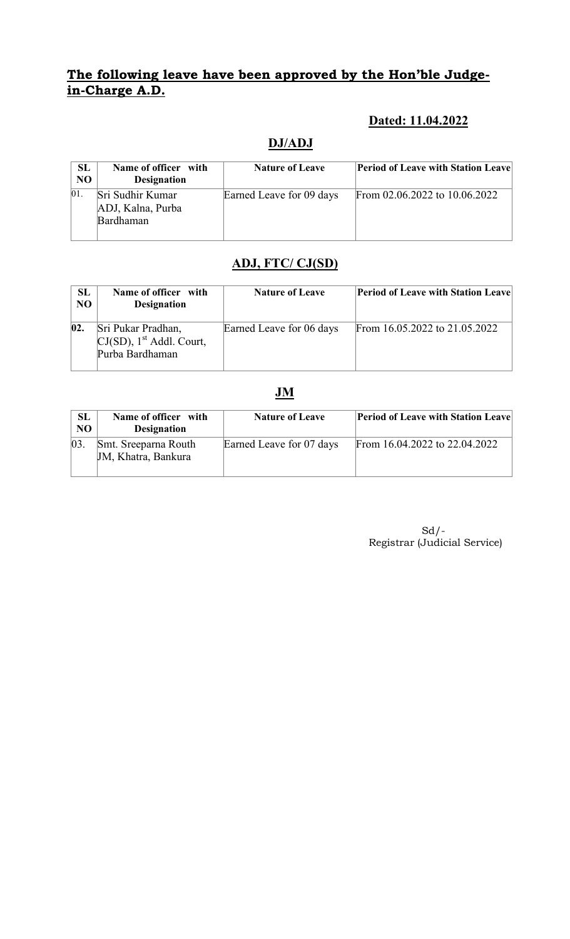### The following leave have been approved by the Hon'ble Judgein-Charge A.D.

### Dated: 11.04.2022

# DJ/ADJ

| <b>SL</b><br>N <sub>O</sub> | Name of officer with<br><b>Designation</b>         | <b>Nature of Leave</b>   | <b>Period of Leave with Station Leave</b> |
|-----------------------------|----------------------------------------------------|--------------------------|-------------------------------------------|
| 01.                         | Sri Sudhir Kumar<br>ADJ, Kalna, Purba<br>Bardhaman | Earned Leave for 09 days | From 02.06.2022 to 10.06.2022             |

# ADJ, FTC/ CJ(SD)

| <b>SL</b><br>NO | Name of officer with<br><b>Designation</b>                                       | <b>Nature of Leave</b>   | <b>Period of Leave with Station Leave</b> |
|-----------------|----------------------------------------------------------------------------------|--------------------------|-------------------------------------------|
| 02.             | Sri Pukar Pradhan,<br>$CI(SD)$ , 1 <sup>st</sup> Addl. Court,<br>Purba Bardhaman | Earned Leave for 06 days | From 16.05.2022 to 21.05.2022             |

#### JM

| <b>SL</b><br>N <sub>O</sub> | Name of officer with<br><b>Designation</b>  | <b>Nature of Leave</b>   | <b>Period of Leave with Station Leave</b> |
|-----------------------------|---------------------------------------------|--------------------------|-------------------------------------------|
| $ 03\rangle$                | Smt. Sreeparna Routh<br>JM, Khatra, Bankura | Earned Leave for 07 days | From 16.04.2022 to 22.04.2022             |

 Sd/- Registrar (Judicial Service)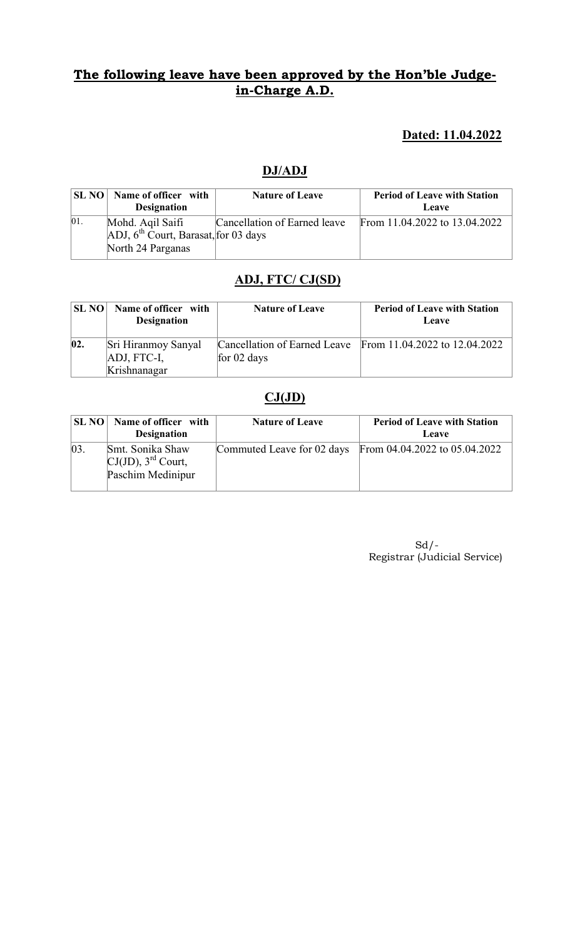### The following leave have been approved by the Hon'ble Judgein-Charge A.D.

### Dated: 11.04.2022

#### DJ/ADJ

|     | <b>SL NO</b> Name of officer with<br><b>Designation</b>                             | <b>Nature of Leave</b>       | <b>Period of Leave with Station</b><br>Leave |
|-----|-------------------------------------------------------------------------------------|------------------------------|----------------------------------------------|
| 01. | Mohd. Agil Saifi<br>$[ADJ, 6th Court, Barasat,   for 03 days]$<br>North 24 Parganas | Cancellation of Earned leave | From 11.04.2022 to 13.04.2022                |

# ADJ, FTC/ CJ(SD)

| <b>SL NO</b> | Name of officer with<br><b>Designation</b> | <b>Nature of Leave</b> | <b>Period of Leave with Station</b><br>Leave               |
|--------------|--------------------------------------------|------------------------|------------------------------------------------------------|
| 02.          | Sri Hiranmoy Sanyal                        |                        | Cancellation of Earned Leave From 11.04.2022 to 12.04.2022 |
|              | ADJ, FTC-I,                                | for $02$ days          |                                                            |
|              | Krishnanagar                               |                        |                                                            |

### $CJ(JD)$

| <b>SL NO</b> | Name of officer with<br><b>Designation</b>                                 | <b>Nature of Leave</b> | <b>Period of Leave with Station</b><br>Leave             |
|--------------|----------------------------------------------------------------------------|------------------------|----------------------------------------------------------|
| 03           | Smt. Sonika Shaw<br>$CI(JD)$ , 3 <sup>rd</sup> Court,<br>Paschim Medinipur |                        | Commuted Leave for 02 days From 04.04.2022 to 05.04.2022 |

 $Sd$  /-Registrar (Judicial Service)